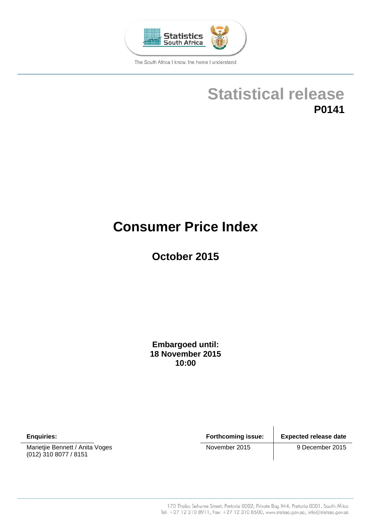

The South Africa I know, the home I understand

# **Statistical release P0141**

# **Consumer Price Index**

**October 2015**

**Embargoed until: 18 November 2015 10:00**

Marietjie Bennett / Anita Voges November 2015 November 2015 (012) 310 8077 / 8151

**Enquiries: Forthcoming issue: Expected release date**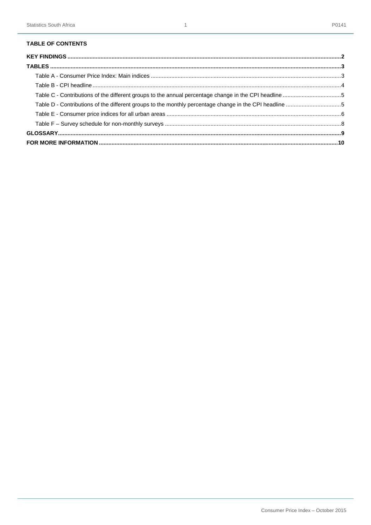#### **TABLE OF CONTENTS**

| Table C - Contributions of the different groups to the annual percentage change in the CPI headline 5  |  |
|--------------------------------------------------------------------------------------------------------|--|
| Table D - Contributions of the different groups to the monthly percentage change in the CPI headline 5 |  |
|                                                                                                        |  |
|                                                                                                        |  |
|                                                                                                        |  |
|                                                                                                        |  |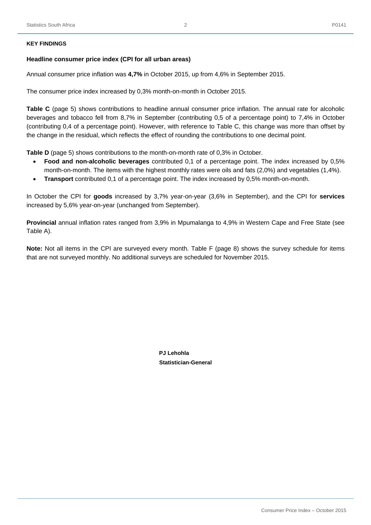# **Headline consumer price index (CPI for all urban areas)**

Annual consumer price inflation was **4,7%** in October 2015, up from 4,6% in September 2015.

The consumer price index increased by 0,3% month-on-month in October 2015.

**Table C** (page 5) shows contributions to headline annual consumer price inflation. The annual rate for alcoholic beverages and tobacco fell from 8,7% in September (contributing 0,5 of a percentage point) to 7,4% in October (contributing 0,4 of a percentage point). However, with reference to Table C, this change was more than offset by the change in the residual, which reflects the effect of rounding the contributions to one decimal point.

2

**Table D** (page 5) shows contributions to the month-on-month rate of 0,3% in October.

- **Food and non-alcoholic beverages** contributed 0,1 of a percentage point. The index increased by 0,5% month-on-month. The items with the highest monthly rates were oils and fats (2,0%) and vegetables (1,4%).
- **Transport** contributed 0,1 of a percentage point. The index increased by 0,5% month-on-month.

In October the CPI for **goods** increased by 3,7% year-on-year (3,6% in September), and the CPI for **services**  increased by 5,6% year-on-year (unchanged from September).

**Provincial** annual inflation rates ranged from 3,9% in Mpumalanga to 4,9% in Western Cape and Free State (see Table A).

**Note:** Not all items in the CPI are surveyed every month. Table F (page 8) shows the survey schedule for items that are not surveyed monthly. No additional surveys are scheduled for November 2015.

> **PJ Lehohla Statistician-General**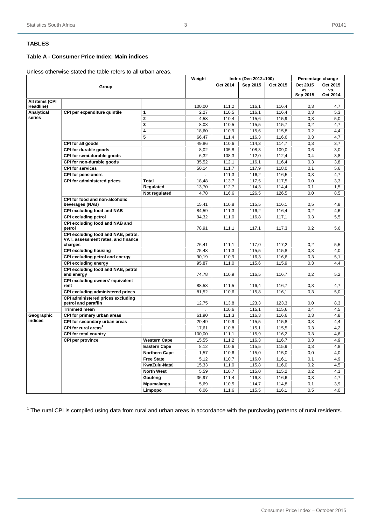# **TABLES**

# **Table A - Consumer Price Index: Main indices**

Unless otherwise stated the table refers to all urban areas.

|                             |                                                                 |                         | Weight         |                | Index (Dec 2012=100) |                | Percentage change |            |
|-----------------------------|-----------------------------------------------------------------|-------------------------|----------------|----------------|----------------------|----------------|-------------------|------------|
|                             | Group                                                           |                         |                | Oct 2014       | Sep 2015             | Oct 2015       | Oct 2015          | Oct 2015   |
|                             |                                                                 |                         |                |                |                      |                | VS.               | VS.        |
|                             |                                                                 |                         |                |                |                      |                | Sep 2015          | Oct 2014   |
| All items (CPI<br>Headline) |                                                                 |                         | 100,00         | 111,2          | 116,1                | 116,4          | 0,3               | 4,7        |
| Analytical                  | CPI per expenditure quintile                                    | 1                       | 2,27           | 110,5          | 116,1                | 116,4          | 0,3               | 5,3        |
| series                      |                                                                 | $\overline{\mathbf{2}}$ | 4,58           | 110,4          | 115,6                | 115,9          | 0,3               | 5,0        |
|                             |                                                                 | $\overline{\mathbf{3}}$ | 8,08           | 110,5          | 115,5                | 115,7          | 0,2               | 4,7        |
|                             |                                                                 | 4                       | 18,60          | 110,9          | 115,6                | 115,8          | 0,2               | 4,4        |
|                             |                                                                 | 5                       | 66,47          | 111,4          | 116,3                | 116,6          | 0,3               | 4,7        |
|                             | CPI for all goods                                               |                         | 49,86          | 110,6          | 114,3                | 114,7          | 0,3               | 3,7        |
|                             | CPI for durable goods                                           |                         | 8,02           | 105,8          | 108,3                | 109,0          | 0,6               | 3,0        |
|                             | CPI for semi-durable goods                                      |                         | 6,32           | 108,3          | 112,0                | 112,4          | 0,4               | 3,8        |
|                             | CPI for non-durable goods                                       |                         | 35,52          | 112,1          | 116,1                | 116,4          | 0,3               | 3,8        |
|                             | <b>CPI for services</b>                                         |                         | 50,14          | 111,7          | 117,9                | 118,0          | 0,1               | 5,6        |
|                             | <b>CPI for pensioners</b>                                       |                         |                | 111,3          | 116,2                | 116,5          | 0,3               | 4,7        |
|                             | CPI for administered prices                                     | <b>Total</b>            | 18,48          | 113,7          | 117,5                | 117,5          | 0,0               | 3,3        |
|                             |                                                                 | Regulated               | 13,70          | 112,7          | 114,3                | 114,4          | 0,1               | 1,5        |
|                             |                                                                 | Not regulated           | 4,78           | 116,6          | 126,5                | 126,5          | 0,0               | 8,5        |
|                             | CPI for food and non-alcoholic                                  |                         |                |                |                      |                |                   |            |
|                             | beverages (NAB)                                                 |                         | 15,41          | 110,8          | 115,5                | 116,1          | 0,5               | 4,8        |
|                             | CPI excluding food and NAB                                      |                         | 84,59          | 111,3          | 116,2                | 116,4          | 0.2               | 4,6        |
|                             | <b>CPI excluding petrol</b>                                     |                         | 94,32          | 111,0          | 116,8                | 117,1          | 0,3               | 5,5        |
|                             | CPI excluding food and NAB and<br>petrol                        |                         | 78,91          | 111,1          | 117,1                | 117,3          | 0,2               | 5,6        |
|                             | CPI excluding food and NAB, petrol,                             |                         |                |                |                      |                |                   |            |
|                             | VAT, assessment rates, and finance                              |                         |                |                |                      |                |                   |            |
|                             | charges                                                         |                         | 76,41          | 111,1          | 117,0                | 117,2          | 0,2               | 5,5        |
|                             | <b>CPI excluding housing</b><br>CPI excluding petrol and energy |                         | 75,48<br>90,19 | 111,3<br>110,9 | 115,5<br>116,3       | 115,8<br>116,6 | 0,3<br>0,3        | 4,0<br>5,1 |
|                             | <b>CPI excluding energy</b>                                     |                         | 95,87          | 111,0          | 115,6                | 115,9          | 0,3               | 4,4        |
|                             | CPI excluding food and NAB, petrol                              |                         |                |                |                      |                |                   |            |
|                             | and energy                                                      |                         | 74,78          | 110,9          | 116,5                | 116,7          | 0,2               | 5,2        |
|                             | CPI excluding owners' equivalent<br>rent                        |                         | 88,58          | 111,5          | 116,4                | 116,7          | 0,3               | 4,7        |
|                             | CPI excluding administered prices                               |                         | 81,52          | 110,6          | 115,8                | 116.1          | 0,3               | 5,0        |
|                             | CPI administered prices excluding<br>petrol and paraffin        |                         | 12,75          | 113,8          | 123,3                | 123,3          | 0,0               | 8,3        |
|                             | <b>Trimmed mean</b>                                             |                         |                | 110,6          | 115,1                | 115,6          | 0,4               | 4,5        |
| Geographic                  | CPI for primary urban areas                                     |                         | 61,90          | 111,3          | 116,3                | 116,6          | 0,3               | 4,8        |
| indices                     | CPI for secondary urban areas                                   |                         | 20,49          | 110,9          | 115,5                | 115,8          | 0,3               | 4,4        |
|                             | CPI for rural areas <sup>1</sup>                                |                         | 17,61          | 110,8          | 115,1                | 115,5          | 0,3               | 4,2        |
|                             | CPI for total country                                           |                         | 100,00         | 111,1          | 115,9                | 116,2          | 0,3               | 4,6        |
|                             | <b>CPI per province</b>                                         | <b>Western Cape</b>     | 15,55          | 111,2          | 116,3                | 116,7          | 0,3               | 4,9        |
|                             |                                                                 | <b>Eastern Cape</b>     | 8,12           | 110,6          | 115,5                | 115,9          | 0,3               | 4,8        |
|                             |                                                                 | <b>Northern Cape</b>    | 1,57           | 110,6          | 115,0                | 115,0          | 0,0               | 4,0        |
|                             |                                                                 | <b>Free State</b>       | 5,12           | 110,7          | 116,0                | 116,1          | 0,1               | 4,9        |
|                             |                                                                 | KwaZulu-Natal           | 15,33          | 111,0          | 115,8                | 116,0          | 0,2               | 4,5        |
|                             |                                                                 | <b>North West</b>       | 5,59           | 110,7          | 115,0                | 115,2          | 0,2               | 4,1        |
|                             |                                                                 | Gauteng                 | 36,97          | 111,4          | 116,3                | 116,6          | 0,3               | 4,7        |
|                             |                                                                 | Mpumalanga              | 5,69           | 110,5          | 114,7                | 114,8          | 0,1               | 3,9        |
|                             |                                                                 | Limpopo                 | 6,06           | 111.6          | 115.5                | 116.1          | 0.5               | 4.0        |

<sup>1</sup> The rural CPI is compiled using data from rural and urban areas in accordance with the purchasing patterns of rural residents.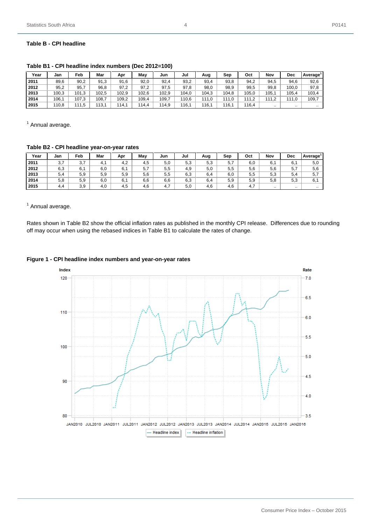| Year | Jan   | Feb   | Mar   | Apr   | May   | Jun   | Jul   | Aug   | Sep   | Oct   | Nov   | Dec       | Average   |
|------|-------|-------|-------|-------|-------|-------|-------|-------|-------|-------|-------|-----------|-----------|
| 2011 | 89,6  | 90,2  | 91.3  | 91.6  | 92.0  | 92,4  | 93,2  | 93,4  | 93,8  | 94.2  | 94.5  | 94,6      | 92,6      |
| 2012 | 95,2  | 95,7  | 96.8  | 97,2  | 97,2  | 97.5  | 97.8  | 98,0  | 98,9  | 99.5  | 99.8  | 100.0     | 97.8      |
| 2013 | 100,3 | 101,3 | 102.5 | 102.9 | 102.6 | 102.9 | 104.0 | 104.3 | 104.8 | 105.0 | 105.7 | 105,4     | 103,4     |
| 2014 | 106,1 | 107.3 | 108.  | 109.2 | 109,4 | 109,7 | 110.6 | 111.0 | 111.0 |       | 111.2 | 111.0     | 109,7     |
| 2015 | 110,8 | 111,5 | 113.1 | 114.1 | 114.4 | 114,9 | 116,1 | 116,1 | 116,  | 116,4 |       | $\cdot$ . | $\ddotsc$ |

#### **Table B1 - CPI headline index numbers (Dec 2012=100)**

<sup>1</sup> Annual average.

#### **Table B2 - CPI headline year-on-year rates**

| Year | Jan | Feb | Mar | Apr | Mav | Jun | Jul | Aug | Sep | Oct | <b>Nov</b> | <b>Dec</b> | Average   |
|------|-----|-----|-----|-----|-----|-----|-----|-----|-----|-----|------------|------------|-----------|
| 2011 | 3.7 | 3.7 | 4.1 | 4.2 | 4,5 | 5.0 | 5.3 | 5,3 | 5,7 | 6.0 | 6,1        | 6,1        | 5,0       |
| 2012 | 6,3 | 6,1 | 6,0 | 6,1 | 5,7 | 5,5 | 4.9 | 5,0 | 5,5 | 5,6 | 5,6        | 5,7        | 5,6       |
| 2013 | 5.4 | 5,9 | 5.9 | 5,9 | 5,6 | 5.5 | 6.3 | 6,4 | 6,0 | 5.5 | 5,3        | 5,4        | 5.7       |
| 2014 | 5,8 | 5,9 | 6.0 | 6,1 | 6,6 | 6,6 | 6.3 | 6,4 | 5,9 | 5.9 | 5.8        | 5,3        | 6.7       |
| 2015 | 4.4 | 3,9 | 4,0 | 4,5 | 4,6 | 4.7 | 5,0 | 4,6 | 4,6 | 4.7 | $\cdot$ .  | $\cdots$   | $\ddotsc$ |

<sup>1</sup> Annual average.

Rates shown in Table B2 show the official inflation rates as published in the monthly CPI release. Differences due to rounding off may occur when using the rebased indices in Table B1 to calculate the rates of change.

#### **Figure 1 - CPI headline index numbers and year-on-year rates**

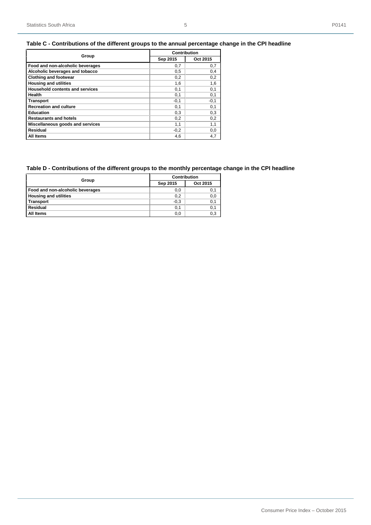# **Table C - Contributions of the different groups to the annual percentage change in the CPI headline**

|                                        | Contribution |          |
|----------------------------------------|--------------|----------|
| Group                                  | Sep 2015     | Oct 2015 |
| Food and non-alcoholic beverages       | 0,7          | 0,7      |
| Alcoholic beverages and tobacco        | 0.5          | 0.4      |
| <b>Clothing and footwear</b>           | 0.2          | 0,2      |
| <b>Housing and utilities</b>           | 1,6          | 1,6      |
| <b>Household contents and services</b> | 0,1          | 0,1      |
| Health                                 | 0,1          | 0,1      |
| <b>Transport</b>                       | $-0,1$       | $-0,1$   |
| <b>Recreation and culture</b>          | 0,1          | 0,1      |
| <b>Education</b>                       | 0,3          | 0,3      |
| <b>Restaurants and hotels</b>          | 0,2          | 0,2      |
| Miscellaneous goods and services       | 1,1          | 1,1      |
| Residual                               | $-0,2$       | 0,0      |
| All Items                              | 4.6          | 4,7      |

# **Table D - Contributions of the different groups to the monthly percentage change in the CPI headline**

| Group                            | <b>Contribution</b> |          |  |  |
|----------------------------------|---------------------|----------|--|--|
|                                  | Sep 2015            | Oct 2015 |  |  |
| Food and non-alcoholic beverages | 0,0                 | 0,1      |  |  |
| <b>Housing and utilities</b>     | 0,2                 | 0,0      |  |  |
| <b>Transport</b>                 | $-0,3$              | 0,1      |  |  |
| <b>Residual</b>                  | 0,1                 | 0,1      |  |  |
| All Items                        | 0,0                 | $_{0,3}$ |  |  |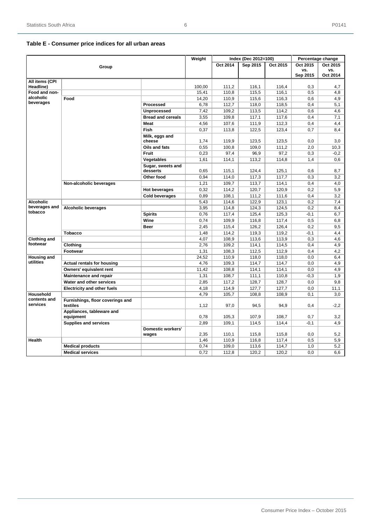# **Table E - Consumer price indices for all urban areas**

|                          |                                              |                               | Weight |          | Index (Dec 2012=100) |          | Percentage change |                 |
|--------------------------|----------------------------------------------|-------------------------------|--------|----------|----------------------|----------|-------------------|-----------------|
|                          | Group                                        |                               |        | Oct 2014 | Sep 2015             | Oct 2015 | Oct 2015          | Oct 2015        |
|                          |                                              |                               |        |          |                      |          | VS.<br>Sep 2015   | vs.<br>Oct 2014 |
| All items (CPI           |                                              |                               |        |          |                      |          |                   |                 |
| Headline)                |                                              |                               | 100,00 | 111,2    | 116,1                | 116,4    | 0,3               | 4,7             |
| Food and non-            |                                              |                               | 15,41  | 110,8    | 115,5                | 116,1    | 0,5               | 4,8             |
| alcoholic                | Food                                         |                               | 14,20  | 110,9    | 115,6                | 116,3    | 0.6               | 4,9             |
| beverages                |                                              | Processed                     | 6,78   | 112,7    | 118,0                | 118,5    | 0,4               | 5,1             |
|                          |                                              | <b>Unprocessed</b>            | 7,42   | 109,2    | 113,5                | 114,2    | 0,6               | 4,6             |
|                          |                                              | <b>Bread and cereals</b>      | 3,55   | 109,8    | 117,1                | 117,6    | 0,4               | 7,1             |
|                          |                                              | <b>Meat</b>                   | 4,56   | 107,6    | 111,9                | 112,3    | 0,4               | 4,4             |
|                          |                                              | Fish                          | 0,37   | 113,8    | 122,5                | 123,4    | 0,7               | 8,4             |
|                          |                                              | Milk, eggs and<br>cheese      | 1,74   | 119.9    | 123,5                | 123,5    | 0,0               | 3,0             |
|                          |                                              | Oils and fats                 | 0,55   | 100.8    | 109.0                | 111.2    | 2,0               | 10,3            |
|                          |                                              | <b>Fruit</b>                  | 0,23   | 97,4     | 96,9                 | 97,2     | 0,3               | $-0.2$          |
|                          |                                              | Vegetables                    | 1,61   | 114,1    | 113,2                | 114,8    | 1,4               | 0,6             |
|                          |                                              | Sugar, sweets and<br>desserts | 0,65   | 115,1    | 124,4                | 125,1    | 0,6               | 8,7             |
|                          |                                              | Other food                    | 0,94   | 114,0    | 117,3                | 117,7    | 0,3               | 3,2             |
|                          | Non-alcoholic beverages                      |                               | 1,21   | 109,7    | 113,7                | 114,1    | 0,4               | 4,0             |
|                          |                                              | <b>Hot beverages</b>          | 0,32   | 114,2    | 120,7                | 120,9    | 0,2               | 5,9             |
|                          |                                              | <b>Cold beverages</b>         | 0.89   | 108.1    | 111,2                | 111,6    | 0,4               | 3,2             |
| <b>Alcoholic</b>         |                                              |                               | 5,43   | 114.6    | 122.9                | 123.1    | 0,2               | 7,4             |
| beverages and            | <b>Alcoholic beverages</b>                   |                               | 3.95   | 114.8    | 124.3                | 124.5    | 0.2               | 8.4             |
| tobacco                  |                                              | <b>Spirits</b>                | 0,76   | 117,4    | 125,4                | 125,3    | $-0,1$            | 6,7             |
|                          |                                              | Wine                          | 0,74   | 109,9    | 116,8                | 117,4    | 0,5               | 6,8             |
|                          |                                              | Beer                          | 2,45   | 115,4    | 126,2                | 126,4    | 0,2               | 9,5             |
|                          | <b>Tobacco</b>                               |                               | 1,48   | 114,2    | 119,3                | 119,2    | $-0,1$            | 4,4             |
| <b>Clothing and</b>      |                                              |                               | 4,07   | 108,9    | 113,6                | 113,9    | 0,3               | 4,6             |
| footwear                 | Clothing                                     |                               | 2,76   | 109,2    | 114,1                | 114,5    | 0,4               | 4,9             |
|                          | Footwear                                     |                               | 1,31   | 108,3    | 112,5                | 112,9    | 0,4               | 4,2             |
| Housing and              |                                              |                               | 24,52  | 110,9    | 118,0                | 118,0    | 0,0               | 6,4             |
| utilities                | <b>Actual rentals for housing</b>            |                               | 4,76   | 109,3    | 114,7                | 114,7    | 0,0               | 4,9             |
|                          | Owners' equivalent rent                      |                               | 11,42  | 108,8    | 114,1                | 114,1    | 0,0               | 4,9             |
|                          | <b>Maintenance and repair</b>                |                               | 1,31   | 108,7    | 111,1                | 110,8    | $-0,3$            | 1,9             |
|                          | Water and other services                     |                               | 2,85   | 117,2    | 128,7                | 128,7    | 0,0               | 9,8             |
|                          | <b>Electricity and other fuels</b>           |                               | 4,18   | 114,9    | 127,7                | 127,7    | 0,0               | 11,1            |
| <b>Household</b>         |                                              |                               | 4,79   | 105,7    | 108,8                | 108,9    | 0,1               | 3,0             |
| contents and<br>services | Furnishings, floor coverings and<br>textiles |                               | 1,12   | 97.0     | 94,5                 | 94,9     | 0,4               | $-2,2$          |
|                          | Appliances, tableware and<br>equipment       |                               | 0,78   | 105,3    | 107,9                | 108,7    | 0,7               | 3,2             |
|                          | <b>Supplies and services</b>                 |                               | 2,89   | 109,1    | 114,5                | 114,4    | $-0,1$            | 4.9             |
|                          |                                              | <b>Domestic workers'</b>      |        |          |                      |          |                   |                 |
|                          |                                              | wages                         | 2,35   | 110,1    | 115,8                | 115,8    | 0,0               | 5,2             |
| <b>Health</b>            |                                              |                               | 1,46   | 110,9    | 116,8                | 117,4    | 0,5               | 5,9             |
|                          | <b>Medical products</b>                      |                               | 0,74   | 109,0    | 113,6                | 114,7    | 1,0               | 5,2             |
|                          | <b>Medical services</b>                      |                               | 0,72   | 112,8    | 120,2                | 120,2    | 0,0               | 6,6             |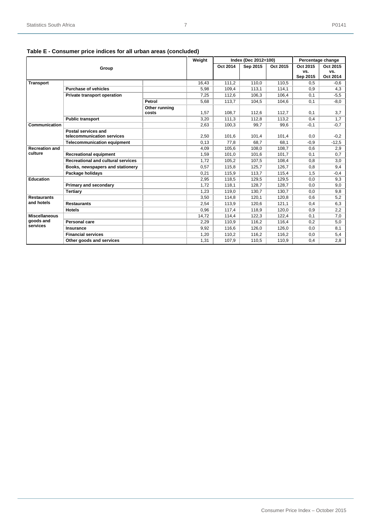|                       |                                                   |               | Weight |          | Index (Dec 2012=100) |          |                 | Percentage change |
|-----------------------|---------------------------------------------------|---------------|--------|----------|----------------------|----------|-----------------|-------------------|
|                       | Group                                             |               |        | Oct 2014 | Sep 2015             | Oct 2015 | Oct 2015        | Oct 2015          |
|                       |                                                   |               |        |          |                      |          | VS.<br>Sep 2015 | VS.<br>Oct 2014   |
| <b>Transport</b>      |                                                   |               | 16,43  | 111.2    | 110.0                | 110,5    | 0.5             | $-0,6$            |
|                       | <b>Purchase of vehicles</b>                       |               | 5,98   | 109,4    | 113,1                | 114,1    | 0,9             | 4,3               |
|                       | Private transport operation                       |               | 7.25   | 112.6    | 106.3                | 106.4    | 0.1             | $-5,5$            |
|                       |                                                   | Petrol        | 5,68   | 113.7    | 104,5                | 104,6    | 0,1             | $-8,0$            |
|                       |                                                   | Other running |        |          |                      |          |                 |                   |
|                       |                                                   | costs         | 1.57   | 108.7    | 112.6                | 112.7    | 0.1             | 3,7               |
|                       | <b>Public transport</b>                           |               | 3.20   | 111,3    | 112,8                | 113,2    | 0,4             | 1,7               |
| Communication         |                                                   |               | 2,63   | 100,3    | 99,7                 | 99,6     | $-0,1$          | $-0,7$            |
|                       | Postal services and<br>telecommunication services |               | 2,50   | 101,6    | 101,4                | 101,4    | 0,0             | $-0,2$            |
|                       | <b>Telecommunication equipment</b>                |               | 0.13   | 77.8     | 68.7                 | 68.1     | $-0.9$          | $-12,5$           |
| <b>Recreation and</b> |                                                   |               | 4,09   | 105,6    | 108,0                | 108,7    | 0,6             | 2,9               |
| culture               | <b>Recreational equipment</b>                     |               | 1.59   | 101.0    | 101,6                | 101.7    | 0,1             | 0,7               |
|                       | <b>Recreational and cultural services</b>         |               | 1,72   | 105,2    | 107,5                | 108,4    | 0,8             | 3,0               |
|                       | Books, newspapers and stationery                  |               | 0.57   | 115.8    | 125.7                | 126.7    | 0.8             | 9,4               |
|                       | Package holidays                                  |               | 0.21   | 115.9    | 113.7                | 115,4    | 1,5             | $-0,4$            |
| <b>Education</b>      |                                                   |               | 2,95   | 118,5    | 129,5                | 129,5    | 0,0             | 9,3               |
|                       | <b>Primary and secondary</b>                      |               | 1.72   | 118.1    | 128.7                | 128.7    | 0,0             | 9,0               |
|                       | <b>Tertiary</b>                                   |               | 1.23   | 119.0    | 130.7                | 130.7    | 0,0             | 9,8               |
| <b>Restaurants</b>    |                                                   |               | 3,50   | 114,8    | 120,1                | 120,8    | 0,6             | 5,2               |
| and hotels            | <b>Restaurants</b>                                |               | 2,54   | 113.9    | 120,6                | 121.1    | 0,4             | 6,3               |
|                       | <b>Hotels</b>                                     |               | 0.96   | 117.4    | 118.9                | 120.0    | 0,9             | 2,2               |
| <b>Miscellaneous</b>  |                                                   |               | 14,72  | 114,4    | 122,3                | 122,4    | 0,1             | 7,0               |
| goods and<br>services | Personal care                                     |               | 2,29   | 110.9    | 116,2                | 116,4    | 0,2             | 5,0               |
|                       | Insurance                                         |               | 9,92   | 116,6    | 126,0                | 126,0    | 0,0             | 8,1               |
|                       | <b>Financial services</b>                         |               | 1,20   | 110,2    | 116,2                | 116,2    | 0,0             | 5,4               |
|                       | Other goods and services                          |               | 1,31   | 107,9    | 110,5                | 110.9    | 0.4             | 2,8               |

# **Table E - Consumer price indices for all urban areas (concluded)**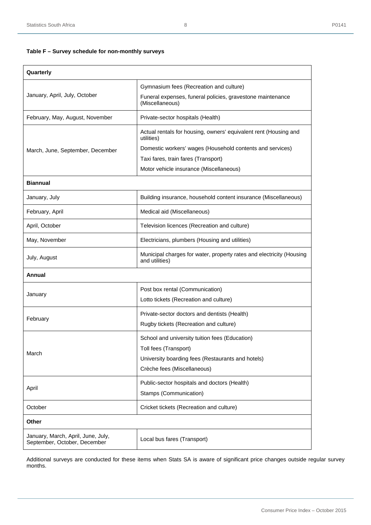# **Table F – Survey schedule for non-monthly surveys**

| Quarterly                                                          |                                                                                        |
|--------------------------------------------------------------------|----------------------------------------------------------------------------------------|
|                                                                    | Gymnasium fees (Recreation and culture)                                                |
| January, April, July, October                                      | Funeral expenses, funeral policies, gravestone maintenance<br>(Miscellaneous)          |
| February, May, August, November                                    | Private-sector hospitals (Health)                                                      |
|                                                                    | Actual rentals for housing, owners' equivalent rent (Housing and<br>utilities)         |
| March, June, September, December                                   | Domestic workers' wages (Household contents and services)                              |
|                                                                    | Taxi fares, train fares (Transport)                                                    |
|                                                                    | Motor vehicle insurance (Miscellaneous)                                                |
| <b>Biannual</b>                                                    |                                                                                        |
| January, July                                                      | Building insurance, household content insurance (Miscellaneous)                        |
| February, April                                                    | Medical aid (Miscellaneous)                                                            |
| April, October                                                     | Television licences (Recreation and culture)                                           |
| May, November                                                      | Electricians, plumbers (Housing and utilities)                                         |
| July, August                                                       | Municipal charges for water, property rates and electricity (Housing<br>and utilities) |
| Annual                                                             |                                                                                        |
|                                                                    | Post box rental (Communication)                                                        |
| January                                                            | Lotto tickets (Recreation and culture)                                                 |
|                                                                    | Private-sector doctors and dentists (Health)                                           |
| February                                                           | Rugby tickets (Recreation and culture)                                                 |
|                                                                    | School and university tuition fees (Education)                                         |
|                                                                    | Toll fees (Transport)                                                                  |
| March                                                              | University boarding fees (Restaurants and hotels)                                      |
|                                                                    | Crèche fees (Miscellaneous)                                                            |
|                                                                    | Public-sector hospitals and doctors (Health)                                           |
| April                                                              | Stamps (Communication)                                                                 |
| October                                                            | Cricket tickets (Recreation and culture)                                               |
| <b>Other</b>                                                       |                                                                                        |
| January, March, April, June, July,<br>September, October, December | Local bus fares (Transport)                                                            |

Additional surveys are conducted for these items when Stats SA is aware of significant price changes outside regular survey months.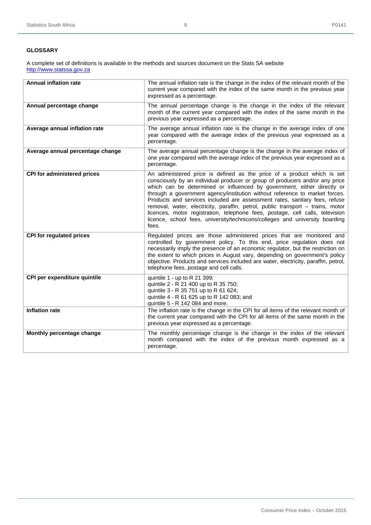# **GLOSSARY**

A complete set of definitions is available in the methods and sources document on the Stats SA website http://www.statssa.gov.za

| <b>Annual inflation rate</b>       | The annual inflation rate is the change in the index of the relevant month of the<br>current year compared with the index of the same month in the previous year<br>expressed as a percentage.                                                                                                                                                                                                                                                                                                                                                                                                                                                               |
|------------------------------------|--------------------------------------------------------------------------------------------------------------------------------------------------------------------------------------------------------------------------------------------------------------------------------------------------------------------------------------------------------------------------------------------------------------------------------------------------------------------------------------------------------------------------------------------------------------------------------------------------------------------------------------------------------------|
| Annual percentage change           | The annual percentage change is the change in the index of the relevant<br>month of the current year compared with the index of the same month in the<br>previous year expressed as a percentage.                                                                                                                                                                                                                                                                                                                                                                                                                                                            |
| Average annual inflation rate      | The average annual inflation rate is the change in the average index of one<br>year compared with the average index of the previous year expressed as a<br>percentage.                                                                                                                                                                                                                                                                                                                                                                                                                                                                                       |
| Average annual percentage change   | The average annual percentage change is the change in the average index of<br>one year compared with the average index of the previous year expressed as a<br>percentage.                                                                                                                                                                                                                                                                                                                                                                                                                                                                                    |
| <b>CPI</b> for administered prices | An administered price is defined as the price of a product which is set<br>consciously by an individual producer or group of producers and/or any price<br>which can be determined or influenced by government, either directly or<br>through a government agency/institution without reference to market forces.<br>Products and services included are assessment rates, sanitary fees, refuse<br>removal, water, electricity, paraffin, petrol, public transport - trains, motor<br>licences, motor registration, telephone fees, postage, cell calls, television<br>licence, school fees, university/technicons/colleges and university boarding<br>fees. |
| <b>CPI for regulated prices</b>    | Regulated prices are those administered prices that are monitored and<br>controlled by government policy. To this end, price regulation does not<br>necessarily imply the presence of an economic regulator, but the restriction on<br>the extent to which prices in August vary, depending on government's policy<br>objective. Products and services included are water, electricity, paraffin, petrol,<br>telephone fees, postage and cell calls.                                                                                                                                                                                                         |
| CPI per expenditure quintile       | quintile 1 - up to R 21 399;<br>quintile 2 - R 21 400 up to R 35 750;<br>quintile 3 - R 35 751 up to R 61 624;<br>quintile 4 - R 61 625 up to R 142 083; and<br>quintile 5 - R 142 084 and more.                                                                                                                                                                                                                                                                                                                                                                                                                                                             |
| <b>Inflation rate</b>              | The inflation rate is the change in the CPI for all items of the relevant month of<br>the current year compared with the CPI for all items of the same month in the<br>previous year expressed as a percentage.                                                                                                                                                                                                                                                                                                                                                                                                                                              |
| Monthly percentage change          | The monthly percentage change is the change in the index of the relevant<br>month compared with the index of the previous month expressed as a<br>percentage.                                                                                                                                                                                                                                                                                                                                                                                                                                                                                                |